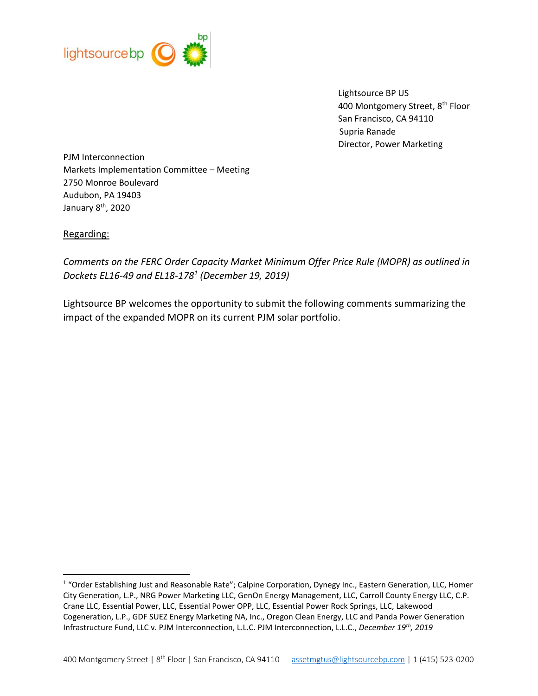

 Lightsource BP US 400 Montgomery Street, 8<sup>th</sup> Floor San Francisco, CA 94110 Supria Ranade Director, Power Marketing

PJM Interconnection Markets Implementation Committee – Meeting 2750 Monroe Boulevard Audubon, PA 19403 January 8th, 2020

### Regarding:

 $\overline{\phantom{a}}$ 

*Comments on the FERC Order Capacity Market Minimum Offer Price Rule (MOPR) as outlined in Dockets EL16-49 and EL18-178<sup>1</sup> (December 19, 2019)*

Lightsource BP welcomes the opportunity to submit the following comments summarizing the impact of the expanded MOPR on its current PJM solar portfolio.

<sup>&</sup>lt;sup>1</sup> "Order Establishing Just and Reasonable Rate"; Calpine Corporation, Dynegy Inc., Eastern Generation, LLC, Homer City Generation, L.P., NRG Power Marketing LLC, GenOn Energy Management, LLC, Carroll County Energy LLC, C.P. Crane LLC, Essential Power, LLC, Essential Power OPP, LLC, Essential Power Rock Springs, LLC, Lakewood Cogeneration, L.P., GDF SUEZ Energy Marketing NA, Inc., Oregon Clean Energy, LLC and Panda Power Generation Infrastructure Fund, LLC v. PJM Interconnection, L.L.C. PJM Interconnection, L.L.C., *December 19th, 2019*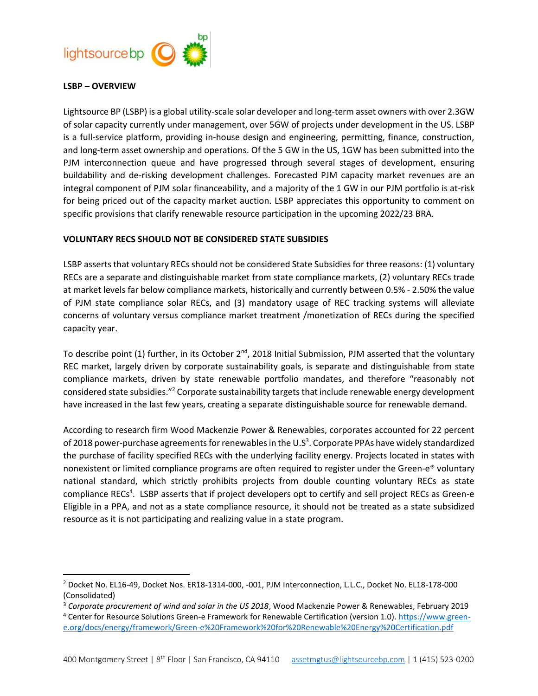

### **LSBP – OVERVIEW**

 $\overline{\phantom{a}}$ 

Lightsource BP (LSBP) is a global utility-scale solar developer and long-term asset owners with over 2.3GW of solar capacity currently under management, over 5GW of projects under development in the US. LSBP is a full-service platform, providing in-house design and engineering, permitting, finance, construction, and long-term asset ownership and operations. Of the 5 GW in the US, 1GW has been submitted into the PJM interconnection queue and have progressed through several stages of development, ensuring buildability and de-risking development challenges. Forecasted PJM capacity market revenues are an integral component of PJM solar financeability, and a majority of the 1 GW in our PJM portfolio is at-risk for being priced out of the capacity market auction. LSBP appreciates this opportunity to comment on specific provisions that clarify renewable resource participation in the upcoming 2022/23 BRA.

#### **VOLUNTARY RECS SHOULD NOT BE CONSIDERED STATE SUBSIDIES**

LSBP asserts that voluntary RECs should not be considered State Subsidies for three reasons: (1) voluntary RECs are a separate and distinguishable market from state compliance markets, (2) voluntary RECs trade at market levels far below compliance markets, historically and currently between 0.5% - 2.50% the value of PJM state compliance solar RECs, and (3) mandatory usage of REC tracking systems will alleviate concerns of voluntary versus compliance market treatment /monetization of RECs during the specified capacity year.

To describe point (1) further, in its October 2<sup>nd</sup>, 2018 Initial Submission, PJM asserted that the voluntary REC market, largely driven by corporate sustainability goals, is separate and distinguishable from state compliance markets, driven by state renewable portfolio mandates, and therefore "reasonably not considered state subsidies."<sup>2</sup> Corporate sustainability targets that include renewable energy development have increased in the last few years, creating a separate distinguishable source for renewable demand.

According to research firm Wood Mackenzie Power & Renewables, corporates accounted for 22 percent of 2018 power-purchase agreements for renewables in the U.S<sup>3</sup>. Corporate PPAs have widely standardized the purchase of facility specified RECs with the underlying facility energy. Projects located in states with nonexistent or limited compliance programs are often required to register under the Green-e® voluntary national standard, which strictly prohibits projects from double counting voluntary RECs as state compliance RECs<sup>4</sup>. LSBP asserts that if project developers opt to certify and sell project RECs as Green-e Eligible in a PPA, and not as a state compliance resource, it should not be treated as a state subsidized resource as it is not participating and realizing value in a state program.

<sup>2</sup> Docket No. EL16-49, Docket Nos. ER18-1314-000, -001, PJM Interconnection, L.L.C., Docket No. EL18-178-000 (Consolidated)

<sup>3</sup> *Corporate procurement of wind and solar in the US 2018*, Wood Mackenzie Power & Renewables, February 2019 <sup>4</sup> Center for Resource Solutions Green-e Framework for Renewable Certification (version 1.0). [https://www.green](https://www.green-e.org/docs/energy/framework/Green-e%20Framework%20for%20Renewable%20Energy%20Certification.pdf)[e.org/docs/energy/framework/Green-e%20Framework%20for%20Renewable%20Energy%20Certification.pdf](https://www.green-e.org/docs/energy/framework/Green-e%20Framework%20for%20Renewable%20Energy%20Certification.pdf)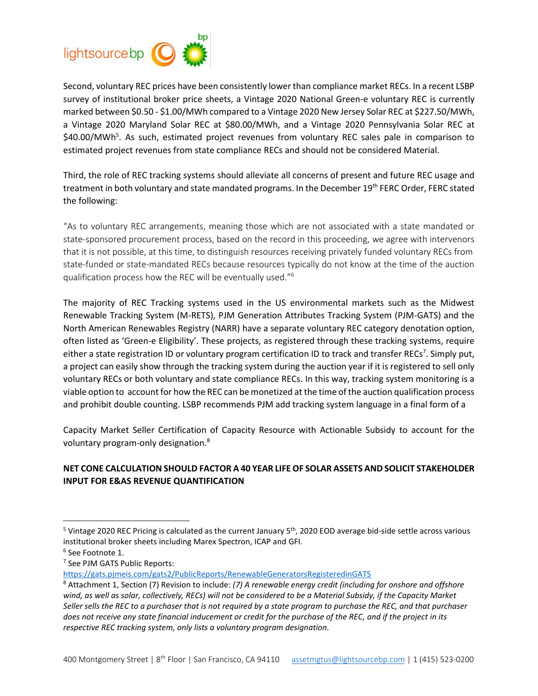

Second, voluntary REC prices have been consistently lower than compliance market RECs. In a recent LSBP survey of institutional broker price sheets, a Vintage 2020 National Green-e voluntary REC is currently marked between \$0.50 - \$1.00/MWh compared to a Vintage 2020 New Jersey Solar REC at \$227.50/MWh, a Vintage 2020 Maryland Solar REC at \$80.00/MWh, and a Vintage 2020 Pennsylvania Solar REC at \$40.00/MWh<sup>5</sup>. As such, estimated project revenues from voluntary REC sales pale in comparison to estimated project revenues from state compliance RECs and should not be considered Material.

Third, the role of REC tracking systems should alleviate all concerns of present and future REC usage and treatment in both voluntary and state mandated programs. In the December 19<sup>th</sup> FERC Order, FERC stated the following:

"As to voluntary REC arrangements, meaning those which are not associated with a state mandated or state-sponsored procurement process, based on the record in this proceeding, we agree with intervenors that it is not possible, at this time, to distinguish resources receiving privately funded voluntary RECs from state-funded or state-mandated RECs because resources typically do not know at the time of the auction qualification process how the REC will be eventually used."<sup>6</sup>

The majority of REC Tracking systems used in the US environmental markets such as the Midwest Renewable Tracking System (M-RETS), PJM Generation Attributes Tracking System (PJM-GATS) and the North American Renewables Registry (NARR) have a separate voluntary REC category denotation option, often listed as 'Green-e Eligibility'. These projects, as registered through these tracking systems, require either a state registration ID or voluntary program certification ID to track and transfer RECs<sup>7</sup>. Simply put, a project can easily show through the tracking system during the auction year if it is registered to sell only voluntary RECs or both voluntary and state compliance RECs. In this way, tracking system monitoring is a viable option to account for how the REC can be monetized at the time of the auction qualification process and prohibit double counting. LSBP recommends PJM add tracking system language in a final form of a

Capacity Market Seller Certification of Capacity Resource with Actionable Subsidy to account for the voluntary program-only designation.<sup>8</sup>

# **NET CONE CALCULATION SHOULD FACTOR A 40 YEAR LIFE OF SOLAR ASSETS AND SOLICIT STAKEHOLDER INPUT FOR E&AS REVENUE QUANTIFICATION**

 $\overline{a}$ 

7 See PJM GATS Public Reports:

<https://gats.pjmeis.com/gats2/PublicReports/RenewableGeneratorsRegisteredinGATS>

 $5$  Vintage 2020 REC Pricing is calculated as the current January  $5<sup>th</sup>$ , 2020 EOD average bid-side settle across various institutional broker sheets including Marex Spectron, ICAP and GFI.

<sup>6</sup> See Footnote 1.

<sup>8</sup> Attachment 1, Section (7) Revision to include: *(7) A renewable energy credit (including for onshore and offshore*  wind, as well as solar, collectively, RECs) will not be considered to be a Material Subsidy, if the Capacity Market *Seller sells the REC to a purchaser that is not required by a state program to purchase the REC, and that purchaser does not receive any state financial inducement or credit for the purchase of the REC, and if the project in its respective REC tracking system, only lists a voluntary program designation.*